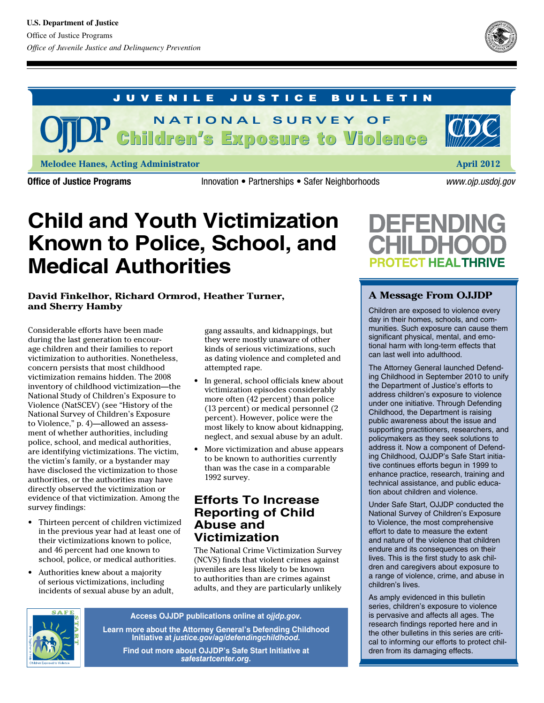

**April 2012** 

#### **JUVENILE JUSTICE BULLETIN**

Children's Exposure to Violence Children's Exposure to Violence **N A T I O N A L S U R V E Y O F**

**Melodee Hanes, Acting Administrator**

Office of Justice Programs **Innovation • Partnerships • Safer Neighborhoods** *www.ojp.usdoj.gov* 

# **Child and Youth Victimization Known to Police, School, and Medical Authorities**

#### **David Finkelhor, Richard Ormrod, Heather Turner, and Sherry Hamby**

Considerable efforts have been made during the last generation to encourage children and their families to report victimization to authorities. Nonetheless, concern persists that most childhood victimization remains hidden. The 2008 inventory of childhood victimization—the National Study of Children's Exposure to Violence (NatSCEV) (see "History of the National Survey of Children's Exposure to Violence," p. 4)—allowed an assessment of whether authorities, including police, school, and medical authorities, are identifying victimizations. The victim, the victim's family, or a bystander may have disclosed the victimization to those authorities, or the authorities may have directly observed the victimization or evidence of that victimization. Among the survey findings:

- Thirteen percent of children victimized in the previous year had at least one of their victimizations known to police, and 46 percent had one known to school, police, or medical authorities.
- of serious victimizations, including incidents of sexual abuse by an adult, • Authorities knew about a majority

 gang assaults, and kidnappings, but they were mostly unaware of other kinds of serious victimizations, such as dating violence and completed and attempted rape.

- In general, school officials knew about victimization episodes considerably more often (42 percent) than police (13 percent) or medical personnel (2 percent). However, police were the most likely to know about kidnapping, neglect, and sexual abuse by an adult.
- More victimization and abuse appears to be known to authorities currently than was the case in a comparable 1992 survey.

# **Efforts To Increase Reporting of Child Abuse and Victimization**

The National Crime Victimization Survey (NCVS) finds that violent crimes against juveniles are less likely to be known to authorities than are crimes against adults, and they are particularly unlikely



**Access OJJDP publications online at** *ojjdp.gov.* **Learn more about the Attorney General's Defending Childhood** 

**Initiative at** *justice.gov/ag/defendingchildhood.*

**Find out more about OJJDP's Safe Start Initiative at**  *safestartcenter.org.*



## **A Message From OJJDP**

 Children are exposed to violence every day in their homes, schools, and com- munities. Such exposure can cause them significant physical, mental, and emo- tional harm with long-term effects that can last well into adulthood.

 The Attorney General launched Defend- ing Childhood in September 2010 to unify the Department of Justice's efforts to address children's exposure to violence under one initiative. Through Defending Childhood, the Department is raising public awareness about the issue and policymakers as they seek solutions to address it. Now a component of Defend- ing Childhood, OJJDP's Safe Start initia- tive continues efforts begun in 1999 to enhance practice, research, training and technical assistance, and public educa- tion about children and violence. supporting practitioners, researchers, and

 Under Safe Start, OJJDP conducted the National Survey of Children's Exposure to Violence, the most comprehensive effort to date to measure the extent and nature of the violence that children endure and its consequences on their lives. This is the first study to ask chil- dren and caregivers about exposure to a range of violence, crime, and abuse in children's lives.

 As amply evidenced in this bulletin series, children's exposure to violence is pervasive and affects all ages. The research findings reported here and in the other bulletins in this series are criti- cal to informing our efforts to protect chil-dren from its damaging effects.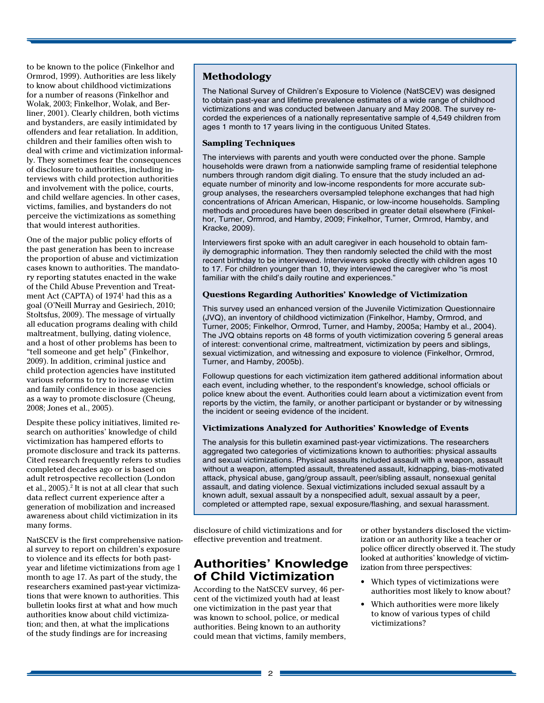to be known to the police (Finkelhor and Ormrod, 1999). Authorities are less likely to know about childhood victimizations for a number of reasons (Finkelhor and Wolak, 2003; Finkelhor, Wolak, and Berliner, 2001). Clearly children, both victims and bystanders, are easily intimidated by offenders and fear retaliation. In addition, children and their families often wish to deal with crime and victimization informally. They sometimes fear the consequences of disclosure to authorities, including interviews with child protection authorities and involvement with the police, courts, and child welfare agencies. In other cases, victims, families, and bystanders do not perceive the victimizations as something that would interest authorities.

One of the major public policy efforts of the past generation has been to increase the proportion of abuse and victimization cases known to authorities. The mandatory reporting statutes enacted in the wake of the Child Abuse Prevention and Treatment Act (CAPTA) of 1974<sup>1</sup> had this as a goal (O'Neill Murray and Gesiriech, 2010; Stoltsfus, 2009). The message of virtually all education programs dealing with child maltreatment, bullying, dating violence, and a host of other problems has been to "tell someone and get help" (Finkelhor, 2009). In addition, criminal justice and child protection agencies have instituted various reforms to try to increase victim and family confidence in those agencies as a way to promote disclosure (Cheung, 2008; Jones et al., 2005).

Despite these policy initiatives, limited research on authorities' knowledge of child victimization has hampered efforts to promote disclosure and track its patterns. Cited research frequently refers to studies completed decades ago or is based on adult retrospective recollection (London et al.,  $2005$ ).<sup>2</sup> It is not at all clear that such data reflect current experience after a generation of mobilization and increased awareness about child victimization in its many forms.

NatSCEV is the first comprehensive national survey to report on children's exposure to violence and its effects for both pastyear and lifetime victimizations from age 1 month to age 17. As part of the study, the researchers examined past-year victimizations that were known to authorities. This bulletin looks first at what and how much authorities know about child victimization; and then, at what the implications of the study findings are for increasing

### **Methodology**

The National Survey of Children's Exposure to Violence (NatSCEV) was designed to obtain past-year and lifetime prevalence estimates of a wide range of childhood victimizations and was conducted between January and May 2008. The survey recorded the experiences of a nationally representative sample of 4,549 children from ages 1 month to 17 years living in the contiguous United States.

#### **Sampling Techniques**

The interviews with parents and youth were conducted over the phone. Sample households were drawn from a nationwide sampling frame of residential telephone numbers through random digit dialing. To ensure that the study included an adequate number of minority and low-income respondents for more accurate subgroup analyses, the researchers oversampled telephone exchanges that had high concentrations of African American, Hispanic, or low-income households. Sampling methods and procedures have been described in greater detail elsewhere (Finkelhor, Turner, Ormrod, and Hamby, 2009; Finkelhor, Turner, Ormrod, Hamby, and Kracke, 2009).

Interviewers first spoke with an adult caregiver in each household to obtain family demographic information. They then randomly selected the child with the most recent birthday to be interviewed. Interviewers spoke directly with children ages 10 to 17. For children younger than 10, they interviewed the caregiver who "is most familiar with the child's daily routine and experiences."

#### **Questions Regarding Authorities' Knowledge of Victimization**

This survey used an enhanced version of the Juvenile Victimization Questionnaire (JVQ), an inventory of childhood victimization (Finkelhor, Hamby, Ormrod, and Turner, 2005; Finkelhor, Ormrod, Turner, and Hamby, 2005a; Hamby et al., 2004). The JVQ obtains reports on 48 forms of youth victimization covering 5 general areas of interest: conventional crime, maltreatment, victimization by peers and siblings, sexual victimization, and witnessing and exposure to violence (Finkelhor, Ormrod, Turner, and Hamby, 2005b).

Followup questions for each victimization item gathered additional information about each event, including whether, to the respondent's knowledge, school officials or police knew about the event. Authorities could learn about a victimization event from reports by the victim, the family, or another participant or bystander or by witnessing the incident or seeing evidence of the incident.

#### **Victimizations Analyzed for Authorities' Knowledge of Events**

 without a weapon, attempted assault, threatened assault, kidnapping, bias-motivated The analysis for this bulletin examined past-year victimizations. The researchers aggregated two categories of victimizations known to authorities: physical assaults and sexual victimizations. Physical assaults included assault with a weapon, assault attack, physical abuse, gang/group assault, peer/sibling assault, nonsexual genital assault, and dating violence. Sexual victimizations included sexual assault by a known adult, sexual assault by a nonspecified adult, sexual assault by a peer, completed or attempted rape, sexual exposure/flashing, and sexual harassment.

# **Authorities' Knowledge**

cent of the victimized youth had at least<br>one victimization in the past year that<br>was known to school, police, or medical<br>authorities. Being known to an authority<br>wictimizations? could mean that victims, family members,

 police officer directly observed it. The study looked at authorities' knowledge of victimization from three perspectives: disclosure of child victimizations and for or other bystanders disclosed the victim-<br>effective prevention and treatment. Tradition or an authority like a teacher or ization or an authority like a teacher or

- **of Child Victimization**<br>According to the NatSCEV survey, 46 per-<br>authorities most likely to know about authorities most likely to know about?
	-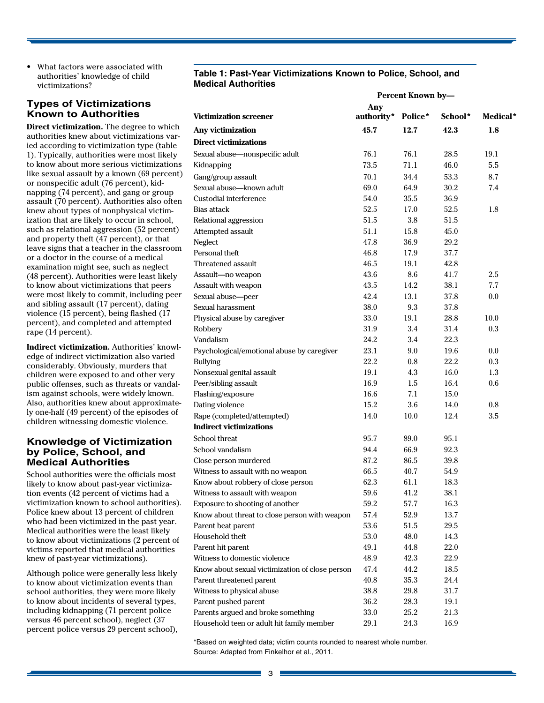• What factors were associated with authorities' knowledge of child victimizations?

#### **Types of Victimizations Known to Authorities**

**Direct victimization.** The degree to which authorities knew about victimizations varied according to victimization type (table 1). Typically, authorities were most likely to know about more serious victimizations like sexual assault by a known (69 percent) or nonspecific adult (76 percent), kidnapping (74 percent), and gang or group assault (70 percent). Authorities also often knew about types of nonphysical victimization that are likely to occur in school, such as relational aggression (52 percent) and property theft (47 percent), or that leave signs that a teacher in the classroom or a doctor in the course of a medical examination might see, such as neglect (48 percent). Authorities were least likely to know about victimizations that peers were most likely to commit, including peer and sibling assault (17 percent), dating violence (15 percent), being flashed (17 percent), and completed and attempted rape (14 percent).

**Indirect victimization.** Authorities' knowledge of indirect victimization also varied considerably. Obviously, murders that children were exposed to and other very public offenses, such as threats or vandalism against schools, were widely known. Also, authorities knew about approximately one-half (49 percent) of the episodes of children witnessing domestic violence.

#### **Knowledge of Victimization by Police, School, and Medical Authorities**

 School authorities were the officials most likely to know about past-year victimiza- tion events (42 percent of victims had a victimization known to school authorities). Police knew about 13 percent of children who had been victimized in the past year. to know about victimizations (2 percent of victims reported that medical authorities knew of past-year victimizations). Medical authorities were the least likely

Although police were generally less likely to know about victimization events than school authorities, they were more likely to know about incidents of several types, including kidnapping (71 percent police versus 46 percent school), neglect (37 percent police versus 29 percent school),

#### **Table 1: Past-Year Victimizations Known to Police, School, and Medical Authorities**

|                                                 | <b>Percent Known by-</b> |         |         |          |
|-------------------------------------------------|--------------------------|---------|---------|----------|
|                                                 | Any                      |         |         |          |
| <b>Victimization screener</b>                   | authority*               | Police* | School* | Medical* |
| Any victimization                               | 45.7                     | 12.7    | 42.3    | 1.8      |
| <b>Direct victimizations</b>                    |                          |         |         |          |
| Sexual abuse-nonspecific adult                  | 76.1                     | 76.1    | 28.5    | 19.1     |
| Kidnapping                                      | 73.5                     | 71.1    | 46.0    | 5.5      |
| Gang/group assault                              | 70.1                     | 34.4    | 53.3    | 8.7      |
| Sexual abuse-known adult                        | 69.0                     | 64.9    | 30.2    | 7.4      |
| Custodial interference                          | 54.0                     | 35.5    | 36.9    |          |
| <b>Bias attack</b>                              | 52.5                     | 17.0    | 52.5    | 1.8      |
| Relational aggression                           | 51.5                     | 3.8     | 51.5    |          |
| Attempted assault                               | 51.1                     | 15.8    | 45.0    |          |
| Neglect                                         | 47.8                     | 36.9    | 29.2    |          |
| Personal theft                                  | 46.8                     | 17.9    | 37.7    |          |
| Threatened assault                              | 46.5                     | 19.1    | 42.8    |          |
|                                                 | 43.6                     | 8.6     |         | $2.5\,$  |
| Assault-no weapon                               |                          |         | 41.7    |          |
| Assault with weapon                             | 43.5                     | 14.2    | 38.1    | 7.7      |
| Sexual abuse-peer                               | 42.4                     | 13.1    | 37.8    | 0.0      |
| Sexual harassment                               | 38.0                     | 9.3     | 37.8    |          |
| Physical abuse by caregiver                     | 33.0                     | 19.1    | 28.8    | 10.0     |
| Robbery                                         | 31.9                     | 3.4     | 31.4    | 0.3      |
| Vandalism                                       | 24.2                     | 3.4     | 22.3    |          |
| Psychological/emotional abuse by caregiver      | 23.1                     | 9.0     | 19.6    | 0.0      |
| <b>Bullying</b>                                 | 22.2                     | 0.8     | 22.2    | 0.3      |
| Nonsexual genital assault                       | 19.1                     | 4.3     | 16.0    | 1.3      |
| Peer/sibling assault                            | 16.9                     | 1.5     | 16.4    | 0.6      |
| Flashing/exposure                               | 16.6                     | 7.1     | 15.0    |          |
| Dating violence                                 | 15.2                     | 3.6     | 14.0    | 0.8      |
| Rape (completed/attempted)                      | 14.0                     | 10.0    | 12.4    | 3.5      |
| <b>Indirect victimizations</b>                  |                          |         |         |          |
| School threat                                   | 95.7                     | 89.0    | 95.1    |          |
| School vandalism                                | 94.4                     | 66.9    | 92.3    |          |
| Close person murdered                           | 87.2                     | 86.5    | 39.8    |          |
| Witness to assault with no weapon               | 66.5                     | 40.7    | 54.9    |          |
| Know about robbery of close person              | 62.3                     | 61.1    | 18.3    |          |
| Witness to assault with weapon                  | 59.6                     | 41.2    | 38.1    |          |
| Exposure to shooting of another                 | 59.2                     | 57.7    | 16.3    |          |
| Know about threat to close person with weapon   | 57.4                     | 52.9    | 13.7    |          |
| Parent beat parent                              | 53.6                     | 51.5    | 29.5    |          |
| Household theft                                 | 53.0                     | 48.0    | 14.3    |          |
| Parent hit parent                               | 49.1                     | 44.8    | 22.0    |          |
| Witness to domestic violence                    | 48.9                     | 42.3    | 22.9    |          |
| Know about sexual victimization of close person | 47.4                     | 44.2    | 18.5    |          |
| Parent threatened parent                        | 40.8                     | 35.3    | 24.4    |          |
| Witness to physical abuse                       | 38.8                     | 29.8    | 31.7    |          |
| Parent pushed parent                            | 36.2                     | 28.3    | 19.1    |          |
| Parents argued and broke something              | 33.0                     | 25.2    | 21.3    |          |
| Household teen or adult hit family member       | 29.1                     | 24.3    | 16.9    |          |

\*Based on weighted data; victim counts rounded to nearest whole number. Source: Adapted from Finkelhor et al., 2011.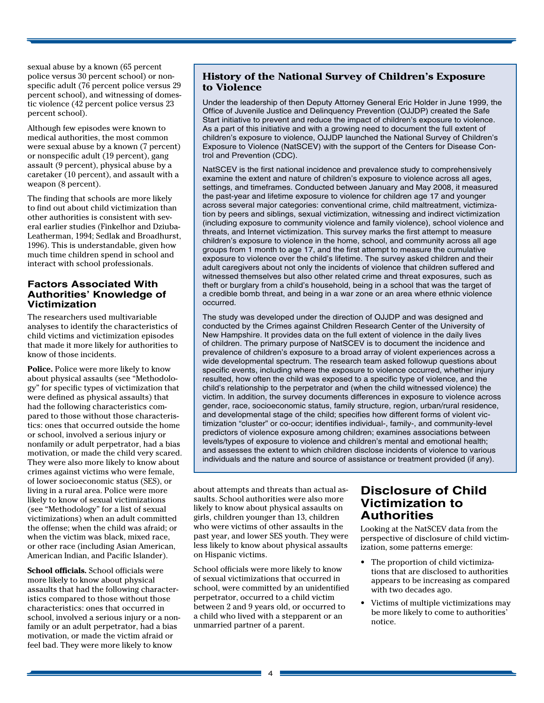sexual abuse by a known (65 percent police versus 30 percent school) or nonspecific adult (76 percent police versus 29 percent school), and witnessing of domestic violence (42 percent police versus 23 percent school).

Although few episodes were known to medical authorities, the most common were sexual abuse by a known (7 percent) or nonspecific adult (19 percent), gang assault (9 percent), physical abuse by a caretaker (10 percent), and assault with a weapon (8 percent).

The finding that schools are more likely to find out about child victimization than other authorities is consistent with several earlier studies (Finkelhor and Dziuba-Leatherman, 1994; Sedlak and Broadhurst, 1996). This is understandable, given how much time children spend in school and interact with school professionals.

#### **Factors Associated With Authorities' Knowledge of Victimization**

The researchers used multivariable analyses to identify the characteristics of child victims and victimization episodes that made it more likely for authorities to know of those incidents.

**Police.** Police were more likely to know about physical assaults (see "Methodology" for specific types of victimization that were defined as physical assaults) that had the following characteristics compared to those without those characteristics: ones that occurred outside the home or school, involved a serious injury or nonfamily or adult perpetrator, had a bias motivation, or made the child very scared. They were also more likely to know about crimes against victims who were female, of lower socioeconomic status (SES), or living in a rural area. Police were more likely to know of sexual victimizations (see "Methodology" for a list of sexual victimizations) when an adult committed the offense; when the child was afraid; or when the victim was black, mixed race, or other race (including Asian American, American Indian, and Pacific Islander).

**School officials.** School officials were more likely to know about physical assaults that had the following characteristics compared to those without those characteristics: ones that occurred in school, involved a serious injury or a nonfamily or an adult perpetrator, had a bias motivation, or made the victim afraid or feel bad. They were more likely to know

### **History of the National Survey of Children's Exposure to Violence**

Under the leadership of then Deputy Attorney General Eric Holder in June 1999, the Office of Juvenile Justice and Delinquency Prevention (OJJDP) created the Safe Start initiative to prevent and reduce the impact of children's exposure to violence. As a part of this initiative and with a growing need to document the full extent of children's exposure to violence, OJJDP launched the National Survey of Children's Exposure to Violence (NatSCEV) with the support of the Centers for Disease Control and Prevention (CDC).

NatSCEV is the first national incidence and prevalence study to comprehensively examine the extent and nature of children's exposure to violence across all ages, settings, and timeframes. Conducted between January and May 2008, it measured the past-year and lifetime exposure to violence for children age 17 and younger across several major categories: conventional crime, child maltreatment, victimization by peers and siblings, sexual victimization, witnessing and indirect victimization (including exposure to community violence and family violence), school violence and threats, and Internet victimization. This survey marks the first attempt to measure children's exposure to violence in the home, school, and community across all age groups from 1 month to age 17, and the first attempt to measure the cumulative exposure to violence over the child's lifetime. The survey asked children and their adult caregivers about not only the incidents of violence that children suffered and witnessed themselves but also other related crime and threat exposures, such as theft or burglary from a child's household, being in a school that was the target of a credible bomb threat, and being in a war zone or an area where ethnic violence occurred.

The study was developed under the direction of OJJDP and was designed and conducted by the Crimes against Children Research Center of the University of New Hampshire. It provides data on the full extent of violence in the daily lives of children. The primary purpose of NatSCEV is to document the incidence and prevalence of children's exposure to a broad array of violent experiences across a wide developmental spectrum. The research team asked followup questions about specific events, including where the exposure to violence occurred, whether injury resulted, how often the child was exposed to a specific type of violence, and the child's relationship to the perpetrator and (when the child witnessed violence) the victim. In addition, the survey documents differences in exposure to violence across gender, race, socioeconomic status, family structure, region, urban/rural residence, and developmental stage of the child; specifies how different forms of violent victimization "cluster" or co-occur; identifies individual-, family-, and community-level predictors of violence exposure among children; examines associations between levels/types of exposure to violence and children's mental and emotional health; and assesses the extent to which children disclose incidents of violence to various individuals and the nature and source of assistance or treatment provided (if any).

about attempts and threats than actual as-<br>saults. School authorities were also more<br>**Wictimization to** saults. School authorities were also more likely to know about physical assaults on **VICUITILATIC**<br>girls\_children.younger.than.13\_children **Authorities** girls, children younger than 13, children<br>who were victims of other assaults in the who were victims of other assaults in the Looking at the NatSCEV data from the past year, and lower SES youth. They were<br>less likely to know about physical assaults ization, some patterns emerge:<br>on Hispanic victims. • The

 $\frac{1}{2}$  School officials were more likely to know tions that are disclosed to authorities of sexual victimizations that occurred in annears to be increasing as compared of sexual victimizations that occurred in<br>school, were committed by an unidentified<br>perpetrator, occurred to a child victim<br>between 2 and 9 years old, or occurred to<br>a child who lived with a stepparent or an<br>unmarried part

- 
-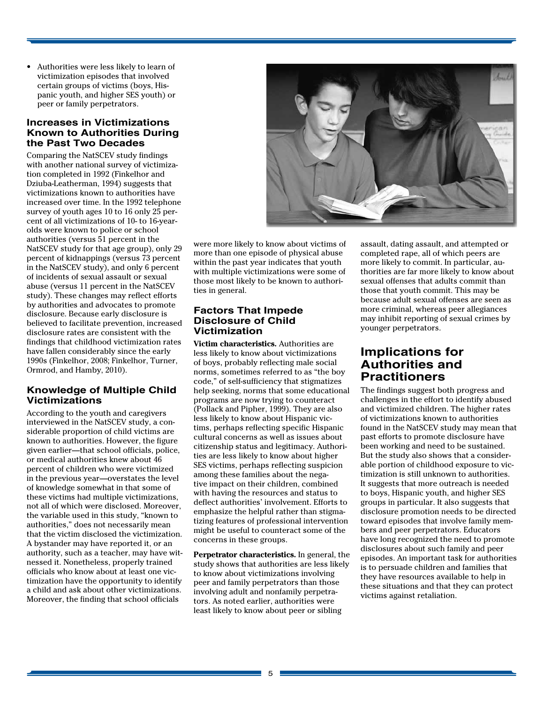Authorities were less likely to learn of victimization episodes that involved certain groups of victims (boys, Hispanic youth, and higher SES youth) or peer or family perpetrators.

#### **Increases in Victimizations Known to Authorities During the Past Two Decades**

Comparing the NatSCEV study findings with another national survey of victimization completed in 1992 (Finkelhor and Dziuba-Leatherman, 1994) suggests that victimizations known to authorities have increased over time. In the 1992 telephone survey of youth ages 10 to 16 only 25 percent of all victimizations of 10- to 16-yearolds were known to police or school authorities (versus 51 percent in the NatSCEV study for that age group), only 29 percent of kidnappings (versus 73 percent in the NatSCEV study), and only 6 percent of incidents of sexual assault or sexual abuse (versus 11 percent in the NatSCEV study). These changes may reflect efforts by authorities and advocates to promote disclosure. Because early disclosure is believed to facilitate prevention, increased disclosure rates are consistent with the findings that childhood victimization rates have fallen considerably since the early 1990s (Finkelhor, 2008; Finkelhor, Turner, Ormrod, and Hamby, 2010).

#### **Knowledge of Multiple Child Victimizations**

According to the youth and caregivers interviewed in the NatSCEV study, a considerable proportion of child victims are known to authorities. However, the figure given earlier—that school officials, police, or medical authorities knew about 46 percent of children who were victimized in the previous year—overstates the level of knowledge somewhat in that some of these victims had multiple victimizations, not all of which were disclosed. Moreover, the variable used in this study, "known to authorities," does not necessarily mean that the victim disclosed the victimization. A bystander may have reported it, or an authority, such as a teacher, may have witnessed it. Nonetheless, properly trained officials who know about at least one victimization have the opportunity to identify a child and ask about other victimizations. Moreover, the finding that school officials



were more likely to know about victims of more than one episode of physical abuse within the past year indicates that youth with multiple victimizations were some of those most likely to be known to authorities in general.

#### **Factors That Impede Disclosure of Child Victimization**

**Victim characteristics.** Authorities are less likely to know about victimizations of boys, probably reflecting male social norms, sometimes referred to as "the boy code," of self-sufficiency that stigmatizes help seeking, norms that some educational programs are now trying to counteract (Pollack and Pipher, 1999). They are also less likely to know about Hispanic victims, perhaps reflecting specific Hispanic cultural concerns as well as issues about citizenship status and legitimacy. Authorities are less likely to know about higher SES victims, perhaps reflecting suspicion among these families about the negative impact on their children, combined with having the resources and status to deflect authorities' involvement. Efforts to emphasize the helpful rather than stigmatizing features of professional intervention might be useful to counteract some of the concerns in these groups.

**Perpetrator characteristics.** In general, the study shows that authorities are less likely to know about victimizations involving peer and family perpetrators than those involving adult and nonfamily perpetrators. As noted earlier, authorities were least likely to know about peer or sibling

assault, dating assault, and attempted or completed rape, all of which peers are more likely to commit. In particular, authorities are far more likely to know about sexual offenses that adults commit than those that youth commit. This may be because adult sexual offenses are seen as more criminal, whereas peer allegiances may inhibit reporting of sexual crimes by younger perpetrators.

## **Implications for Authorities and Practitioners**

The findings suggest both progress and challenges in the effort to identify abused and victimized children. The higher rates of victimizations known to authorities found in the NatSCEV study may mean that past efforts to promote disclosure have been working and need to be sustained. But the study also shows that a considerable portion of childhood exposure to victimization is still unknown to authorities. It suggests that more outreach is needed to boys, Hispanic youth, and higher SES groups in particular. It also suggests that disclosure promotion needs to be directed toward episodes that involve family members and peer perpetrators. Educators have long recognized the need to promote disclosures about such family and peer episodes. An important task for authorities is to persuade children and families that they have resources available to help in these situations and that they can protect victims against retaliation.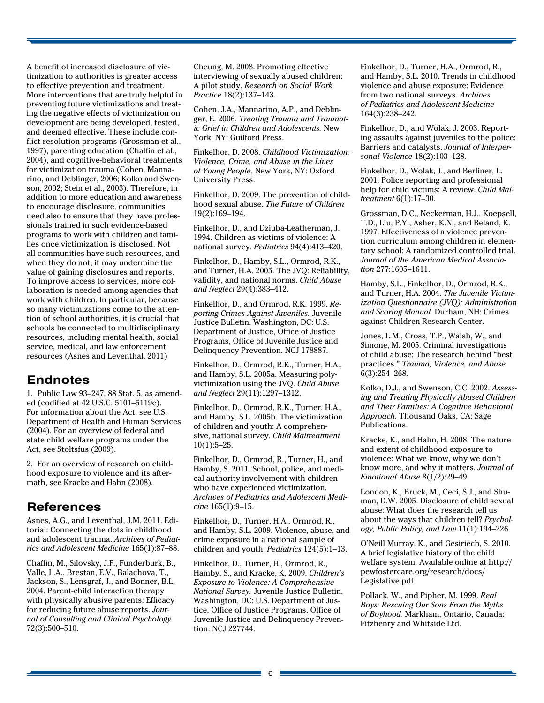A benefit of increased disclosure of victimization to authorities is greater access to effective prevention and treatment. More interventions that are truly helpful in preventing future victimizations and treating the negative effects of victimization on development are being developed, tested, and deemed effective. These include conflict resolution programs (Grossman et al., 1997), parenting education (Chaffin et al., 2004), and cognitive-behavioral treatments for victimization trauma (Cohen, Mannarino, and Deblinger, 2006; Kolko and Swenson, 2002; Stein et al., 2003). Therefore, in addition to more education and awareness to encourage disclosure, communities need also to ensure that they have professionals trained in such evidence-based programs to work with children and families once victimization is disclosed. Not all communities have such resources, and when they do not, it may undermine the value of gaining disclosures and reports. To improve access to services, more collaboration is needed among agencies that work with children. In particular, because so many victimizations come to the attention of school authorities, it is crucial that schools be connected to multidisciplinary resources, including mental health, social service, medical, and law enforcement resources (Asnes and Leventhal, 2011)

# **Endnotes**

1. Public Law 93–247, 88 Stat. 5, as amended (codified at 42 U.S.C. 5101–5119c). For information about the Act, see U.S. Department of Health and Human Services (2004). For an overview of federal and state child welfare programs under the Act, see Stoltsfus (2009).

2. For an overview of research on childhood exposure to violence and its aftermath, see Kracke and Hahn (2008).

# **References**

Asnes, A.G., and Leventhal, J.M. 2011. Editorial: Connecting the dots in childhood and adolescent trauma. *Archives of Pediatrics and Adolescent Medicine* 165(1):87–88.

Chaffin, M., Silovsky, J.F., Funderburk, B., Valle, L.A., Brestan, E.V., Balachova, T., Jackson, S., Lensgraf, J., and Bonner, B.L. 2004. Parent-child interaction therapy with physically abusive parents: Efficacy for reducing future abuse reports. *Journal of Consulting and Clinical Psychology*  72(3):500–510.

Cheung, M. 2008. Promoting effective interviewing of sexually abused children: A pilot study. *Research on Social Work Practice* 18(2):137–143.

Cohen, J.A., Mannarino, A.P., and Deblinger, E. 2006. *Treating Trauma and Traumatic Grief in Children and Adolescents.* New York, NY: Guilford Press.

Finkelhor, D. 2008. *Childhood Victimization: Violence, Crime, and Abuse in the Lives of Young People.* New York, NY: Oxford University Press.

Finkelhor, D. 2009. The prevention of childhood sexual abuse. *The Future of Children*  19(2):169–194.

Finkelhor, D., and Dziuba-Leatherman, J. 1994. Children as victims of violence: A national survey. *Pediatrics* 94(4):413–420.

Finkelhor, D., Hamby, S.L., Ormrod, R.K., and Turner, H.A. 2005. The JVQ: Reliability, validity, and national norms. *Child Abuse and Neglect* 29(4):383–412.

Finkelhor, D., and Ormrod, R.K. 1999. *Reporting Crimes Against Juveniles.* Juvenile Justice Bulletin. Washington, DC: U.S. Department of Justice, Office of Justice Programs, Office of Juvenile Justice and Delinquency Prevention. NCJ 178887.

Finkelhor, D., Ormrod, R.K., Turner, H.A., and Hamby, S.L. 2005a. Measuring polyvictimization using the JVQ. *Child Abuse and Neglect* 29(11):1297–1312.

Finkelhor, D., Ormrod, R.K., Turner, H.A., and Hamby, S.L. 2005b. The victimization of children and youth: A comprehensive, national survey. *Child Maltreatment*  10(1):5–25.

Finkelhor, D., Ormrod, R., Turner, H., and Hamby, S. 2011. School, police, and medical authority involvement with children who have experienced victimization. *Archives of Pediatrics and Adolescent Medicine* 165(1):9–15.

Finkelhor, D., Turner, H.A., Ormrod, R., and Hamby, S.L. 2009. Violence, abuse, and crime exposure in a national sample of children and youth. *Pediatrics* 124(5):1–13.

Finkelhor, D., Turner, H., Ormrod, R., Hamby, S., and Kracke, K. 2009. *Children's Exposure to Violence: A Comprehensive National Survey.* Juvenile Justice Bulletin. Washington, DC: U.S. Department of Justice, Office of Justice Programs, Office of Juvenile Justice and Delinquency Prevention. NCJ 227744.

Finkelhor, D., Turner, H.A., Ormrod, R., and Hamby, S.L. 2010. Trends in childhood violence and abuse exposure: Evidence from two national surveys. *Archives of Pediatrics and Adolescent Medicine*  164(3):238–242.

Finkelhor, D., and Wolak, J. 2003. Reporting assaults against juveniles to the police: Barriers and catalysts. *Journal of Interpersonal Violence* 18(2):103–128.

Finkelhor, D., Wolak, J., and Berliner, L. 2001. Police reporting and professional help for child victims: A review. *Child Maltreatment* 6(1):17–30.

Grossman, D.C., Neckerman, H.J., Koepsell, T.D., Liu, P.Y., Asher, K.N., and Beland, K. 1997. Effectiveness of a violence prevention curriculum among children in elementary school: A randomized controlled trial. *Journal of the American Medical Association* 277:1605–1611.

Hamby, S.L., Finkelhor, D., Ormrod, R.K., and Turner, H.A. 2004. *The Juvenile Victimization Questionnaire (JVQ): Administration and Scoring Manual.* Durham, NH: Crimes against Children Research Center.

Jones, L.M., Cross, T.P., Walsh, W., and Simone, M. 2005. Criminal investigations of child abuse: The research behind "best practices." *Trauma, Violence, and Abuse*  6(3):254–268.

Kolko, D.J., and Swenson, C.C. 2002. *Assessing and Treating Physically Abused Children and Their Families: A Cognitive Behavioral Approach.* Thousand Oaks, CA: Sage Publications.

Kracke, K., and Hahn, H. 2008. The nature and extent of childhood exposure to violence: What we know, why we don't know more, and why it matters. *Journal of Emotional Abuse* 8(1/2):29–49.

London, K., Bruck, M., Ceci, S.J., and Shuman, D.W. 2005. Disclosure of child sexual abuse: What does the research tell us about the ways that children tell? *Psychology, Public Policy, and Law* 11(1):194–226.

O'Neill Murray, K., and Gesiriech, S. 2010. A brief legislative history of the child welfare system. Available online at http:// pewfostercare.org/research/docs/ Legislative.pdf.

Pollack, W., and Pipher, M. 1999. *Real Boys: Rescuing Our Sons From the Myths of Boyhood.* Markham, Ontario, Canada: Fitzhenry and Whitside Ltd.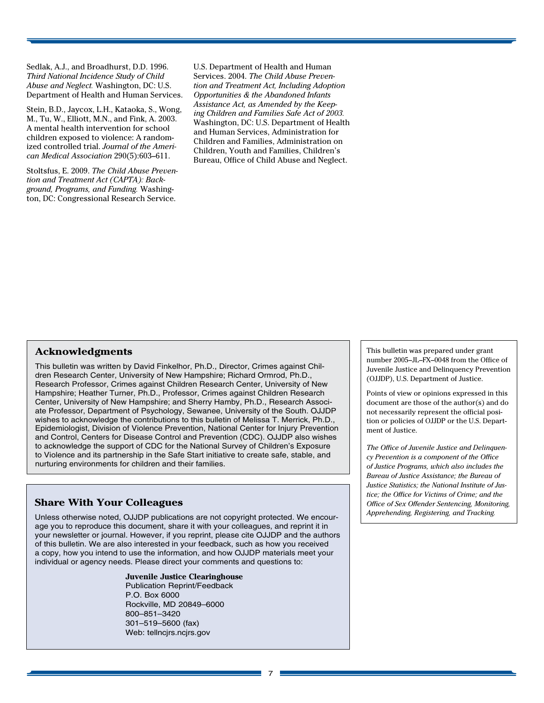Sedlak, A.J., and Broadhurst, D.D. 1996. *Third National Incidence Study of Child Abuse and Neglect.* Washington, DC: U.S. Department of Health and Human Services.

Stein, B.D., Jaycox, L.H., Kataoka, S., Wong, M., Tu, W., Elliott, M.N., and Fink, A. 2003. A mental health intervention for school children exposed to violence: A randomized controlled trial. *Journal of the American Medical Association* 290(5):603–611.

Stoltsfus, E. 2009. *The Child Abuse Prevention and Treatment Act (CAPTA): Background, Programs, and Funding.* Washington, DC: Congressional Research Service.

U.S. Department of Health and Human Services. 2004. *The Child Abuse Prevention and Treatment Act, Including Adoption Opportunities & the Abandoned Infants Assistance Act, as Amended by the Keeping Children and Families Safe Act of 2003.*  Washington, DC: U.S. Department of Health and Human Services, Administration for Children and Families, Administration on Children, Youth and Families, Children's Bureau, Office of Child Abuse and Neglect.

#### **Acknowledgments**

This bulletin was written by David Finkelhor, Ph.D., Director, Crimes against Children Research Center, University of New Hampshire; Richard Ormrod, Ph.D., Research Professor, Crimes against Children Research Center, University of New Hampshire; Heather Turner, Ph.D., Professor, Crimes against Children Research Center, University of New Hampshire; and Sherry Hamby, Ph.D., Research Associate Professor, Department of Psychology, Sewanee, University of the South. OJJDP wishes to acknowledge the contributions to this bulletin of Melissa T. Merrick, Ph.D., Epidemiologist, Division of Violence Prevention, National Center for Injury Prevention and Control, Centers for Disease Control and Prevention (CDC). OJJDP also wishes to acknowledge the support of CDC for the National Survey of Children's Exposure to Violence and its partnership in the Safe Start initiative to create safe, stable, and nurturing environments for children and their families.

#### **Share With Your Colleagues**

Unless otherwise noted, OJJDP publications are not copyright protected. We encourage you to reproduce this document, share it with your colleagues, and reprint it in your newsletter or journal. However, if you reprint, please cite OJJDP and the authors of this bulletin. We are also interested in your feedback, such as how you received a copy, how you intend to use the information, and how OJJDP materials meet your individual or agency needs. Please direct your comments and questions to:

> P.O. Box 6000 Rockville, MD 20849–6000 301–519–5600 (fax) **Juvenile Justice Clearinghouse**  Publication Reprint/Feedback 800–851–3420 Web: tellncjrs.ncjrs.gov

This bulletin was prepared under grant number 2005–JL–FX–0048 from the Office of Juvenile Justice and Delinquency Prevention (OJJDP), U.S. Department of Justice.

Points of view or opinions expressed in this document are those of the author(s) and do not necessarily represent the official position or policies of OJJDP or the U.S. Department of Justice.

*The Office of Juvenile Justice and Delinquency Prevention is a component of the Office of Justice Programs, which also includes the Bureau of Justice Assistance; the Bureau of Justice Statistics; the National Institute of Justice; the Office for Victims of Crime; and the Office of Sex Offender Sentencing, Monitoring, Apprehending, Registering, and Tracking.*